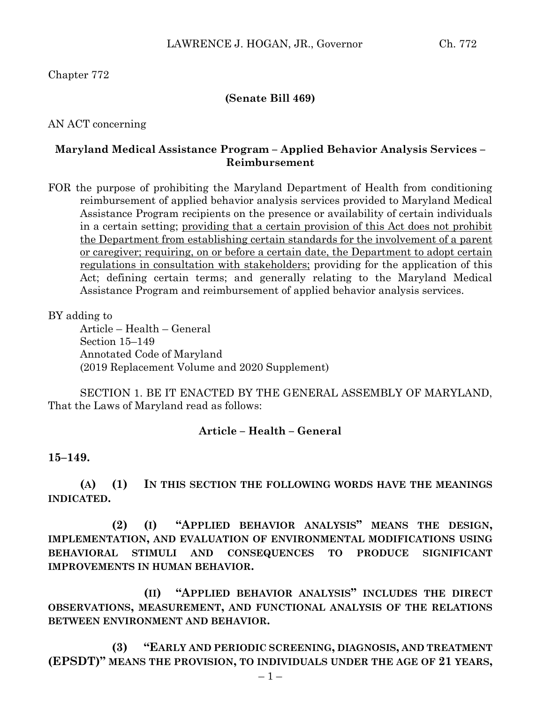Chapter 772

### **(Senate Bill 469)**

AN ACT concerning

## **Maryland Medical Assistance Program – Applied Behavior Analysis Services – Reimbursement**

FOR the purpose of prohibiting the Maryland Department of Health from conditioning reimbursement of applied behavior analysis services provided to Maryland Medical Assistance Program recipients on the presence or availability of certain individuals in a certain setting; providing that a certain provision of this Act does not prohibit the Department from establishing certain standards for the involvement of a parent or caregiver; requiring, on or before a certain date, the Department to adopt certain regulations in consultation with stakeholders; providing for the application of this Act; defining certain terms; and generally relating to the Maryland Medical Assistance Program and reimbursement of applied behavior analysis services.

### BY adding to

Article – Health – General Section 15–149 Annotated Code of Maryland (2019 Replacement Volume and 2020 Supplement)

SECTION 1. BE IT ENACTED BY THE GENERAL ASSEMBLY OF MARYLAND, That the Laws of Maryland read as follows:

## **Article – Health – General**

#### **15–149.**

**(A) (1) IN THIS SECTION THE FOLLOWING WORDS HAVE THE MEANINGS INDICATED.**

**(2) (I) "APPLIED BEHAVIOR ANALYSIS" MEANS THE DESIGN, IMPLEMENTATION, AND EVALUATION OF ENVIRONMENTAL MODIFICATIONS USING BEHAVIORAL STIMULI AND CONSEQUENCES TO PRODUCE SIGNIFICANT IMPROVEMENTS IN HUMAN BEHAVIOR.**

**(II) "APPLIED BEHAVIOR ANALYSIS" INCLUDES THE DIRECT OBSERVATIONS, MEASUREMENT, AND FUNCTIONAL ANALYSIS OF THE RELATIONS BETWEEN ENVIRONMENT AND BEHAVIOR.**

**(3) "EARLY AND PERIODIC SCREENING, DIAGNOSIS, AND TREATMENT (EPSDT)" MEANS THE PROVISION, TO INDIVIDUALS UNDER THE AGE OF 21 YEARS,**